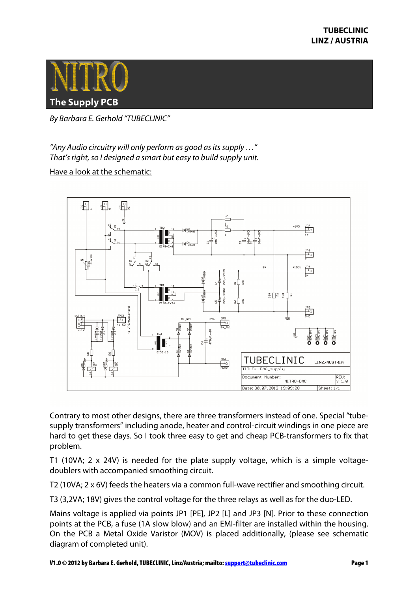

By Barbara E. Gerhold "TUBECLINIC"

"Any Audio circuitry will only perform as good as its supply …" That's right, so I designed a smart but easy to build supply unit.

Have a look at the schematic:



Contrary to most other designs, there are three transformers instead of one. Special "tubesupply transformers" including anode, heater and control-circuit windings in one piece are hard to get these days. So I took three easy to get and cheap PCB-transformers to fix that problem.

T1 (10VA; 2 x 24V) is needed for the plate supply voltage, which is a simple voltagedoublers with accompanied smoothing circuit.

T2 (10VA; 2 x 6V) feeds the heaters via a common full-wave rectifier and smoothing circuit.

T3 (3,2VA; 18V) gives the control voltage for the three relays as well as for the duo-LED.

Mains voltage is applied via points JP1 [PE], JP2 [L] and JP3 [N]. Prior to these connection points at the PCB, a fuse (1A slow blow) and an EMI-filter are installed within the housing. On the PCB a Metal Oxide Varistor (MOV) is placed additionally, (please see schematic diagram of completed unit).